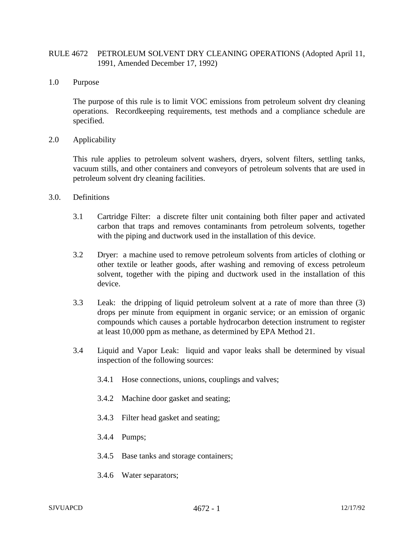## RULE 4672 PETROLEUM SOLVENT DRY CLEANING OPERATIONS (Adopted April 11, 1991, Amended December 17, 1992)

1.0 Purpose

The purpose of this rule is to limit VOC emissions from petroleum solvent dry cleaning operations. Recordkeeping requirements, test methods and a compliance schedule are specified.

2.0 Applicability

This rule applies to petroleum solvent washers, dryers, solvent filters, settling tanks, vacuum stills, and other containers and conveyors of petroleum solvents that are used in petroleum solvent dry cleaning facilities.

- 3.0. Definitions
	- 3.1 Cartridge Filter: a discrete filter unit containing both filter paper and activated carbon that traps and removes contaminants from petroleum solvents, together with the piping and ductwork used in the installation of this device.
	- 3.2 Dryer: a machine used to remove petroleum solvents from articles of clothing or other textile or leather goods, after washing and removing of excess petroleum solvent, together with the piping and ductwork used in the installation of this device.
	- 3.3 Leak: the dripping of liquid petroleum solvent at a rate of more than three (3) drops per minute from equipment in organic service; or an emission of organic compounds which causes a portable hydrocarbon detection instrument to register at least 10,000 ppm as methane, as determined by EPA Method 21.
	- 3.4 Liquid and Vapor Leak: liquid and vapor leaks shall be determined by visual inspection of the following sources:
		- 3.4.1 Hose connections, unions, couplings and valves;
		- 3.4.2 Machine door gasket and seating;
		- 3.4.3 Filter head gasket and seating;
		- 3.4.4 Pumps;
		- 3.4.5 Base tanks and storage containers;
		- 3.4.6 Water separators;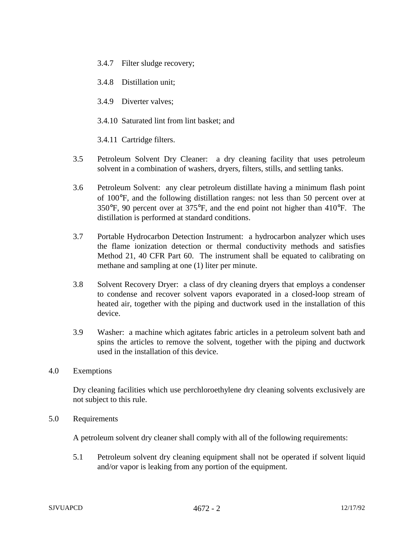- 3.4.7 Filter sludge recovery;
- 3.4.8 Distillation unit;
- 3.4.9 Diverter valves;
- 3.4.10 Saturated lint from lint basket; and

3.4.11 Cartridge filters.

- 3.5 Petroleum Solvent Dry Cleaner: a dry cleaning facility that uses petroleum solvent in a combination of washers, dryers, filters, stills, and settling tanks.
- 3.6 Petroleum Solvent: any clear petroleum distillate having a minimum flash point of 100°F, and the following distillation ranges: not less than 50 percent over at 350°F, 90 percent over at 375°F, and the end point not higher than 410°F. The distillation is performed at standard conditions.
- 3.7 Portable Hydrocarbon Detection Instrument: a hydrocarbon analyzer which uses the flame ionization detection or thermal conductivity methods and satisfies Method 21, 40 CFR Part 60. The instrument shall be equated to calibrating on methane and sampling at one (1) liter per minute.
- 3.8 Solvent Recovery Dryer: a class of dry cleaning dryers that employs a condenser to condense and recover solvent vapors evaporated in a closed-loop stream of heated air, together with the piping and ductwork used in the installation of this device.
- 3.9 Washer: a machine which agitates fabric articles in a petroleum solvent bath and spins the articles to remove the solvent, together with the piping and ductwork used in the installation of this device.
- 4.0 Exemptions

Dry cleaning facilities which use perchloroethylene dry cleaning solvents exclusively are not subject to this rule.

5.0 Requirements

A petroleum solvent dry cleaner shall comply with all of the following requirements:

5.1 Petroleum solvent dry cleaning equipment shall not be operated if solvent liquid and/or vapor is leaking from any portion of the equipment.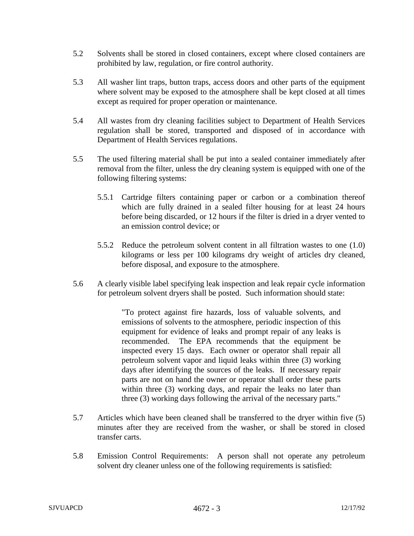- 5.2 Solvents shall be stored in closed containers, except where closed containers are prohibited by law, regulation, or fire control authority.
- 5.3 All washer lint traps, button traps, access doors and other parts of the equipment where solvent may be exposed to the atmosphere shall be kept closed at all times except as required for proper operation or maintenance.
- 5.4 All wastes from dry cleaning facilities subject to Department of Health Services regulation shall be stored, transported and disposed of in accordance with Department of Health Services regulations.
- 5.5 The used filtering material shall be put into a sealed container immediately after removal from the filter, unless the dry cleaning system is equipped with one of the following filtering systems:
	- 5.5.1 Cartridge filters containing paper or carbon or a combination thereof which are fully drained in a sealed filter housing for at least 24 hours before being discarded, or 12 hours if the filter is dried in a dryer vented to an emission control device; or
	- 5.5.2 Reduce the petroleum solvent content in all filtration wastes to one (1.0) kilograms or less per 100 kilograms dry weight of articles dry cleaned, before disposal, and exposure to the atmosphere.
- 5.6 A clearly visible label specifying leak inspection and leak repair cycle information for petroleum solvent dryers shall be posted. Such information should state:

"To protect against fire hazards, loss of valuable solvents, and emissions of solvents to the atmosphere, periodic inspection of this equipment for evidence of leaks and prompt repair of any leaks is recommended. The EPA recommends that the equipment be inspected every 15 days. Each owner or operator shall repair all petroleum solvent vapor and liquid leaks within three (3) working days after identifying the sources of the leaks. If necessary repair parts are not on hand the owner or operator shall order these parts within three (3) working days, and repair the leaks no later than three (3) working days following the arrival of the necessary parts."

- 5.7 Articles which have been cleaned shall be transferred to the dryer within five (5) minutes after they are received from the washer, or shall be stored in closed transfer carts.
- 5.8 Emission Control Requirements: A person shall not operate any petroleum solvent dry cleaner unless one of the following requirements is satisfied: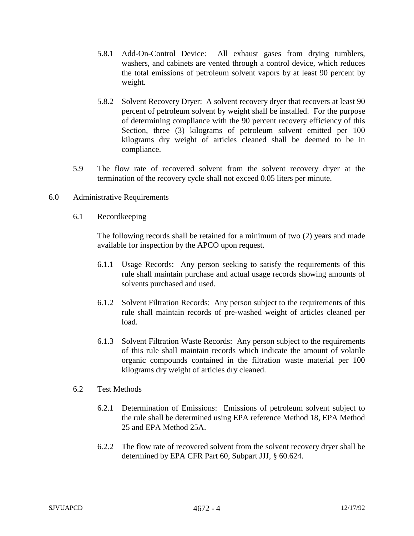- 5.8.1 Add-On-Control Device: All exhaust gases from drying tumblers, washers, and cabinets are vented through a control device, which reduces the total emissions of petroleum solvent vapors by at least 90 percent by weight.
- 5.8.2 Solvent Recovery Dryer: A solvent recovery dryer that recovers at least 90 percent of petroleum solvent by weight shall be installed. For the purpose of determining compliance with the 90 percent recovery efficiency of this Section, three (3) kilograms of petroleum solvent emitted per 100 kilograms dry weight of articles cleaned shall be deemed to be in compliance.
- 5.9 The flow rate of recovered solvent from the solvent recovery dryer at the termination of the recovery cycle shall not exceed 0.05 liters per minute.
- 6.0 Administrative Requirements
	- 6.1 Recordkeeping

The following records shall be retained for a minimum of two (2) years and made available for inspection by the APCO upon request.

- 6.1.1 Usage Records: Any person seeking to satisfy the requirements of this rule shall maintain purchase and actual usage records showing amounts of solvents purchased and used.
- 6.1.2 Solvent Filtration Records: Any person subject to the requirements of this rule shall maintain records of pre-washed weight of articles cleaned per load.
- 6.1.3 Solvent Filtration Waste Records: Any person subject to the requirements of this rule shall maintain records which indicate the amount of volatile organic compounds contained in the filtration waste material per 100 kilograms dry weight of articles dry cleaned.
- 6.2 Test Methods
	- 6.2.1 Determination of Emissions: Emissions of petroleum solvent subject to the rule shall be determined using EPA reference Method 18, EPA Method 25 and EPA Method 25A.
	- 6.2.2 The flow rate of recovered solvent from the solvent recovery dryer shall be determined by EPA CFR Part 60, Subpart JJJ, § 60.624.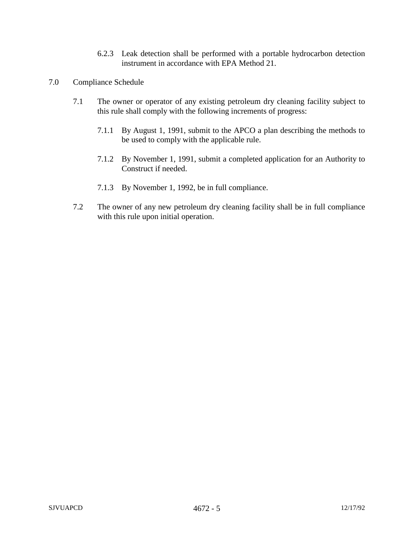- 6.2.3 Leak detection shall be performed with a portable hydrocarbon detection instrument in accordance with EPA Method 21.
- 7.0 Compliance Schedule
	- 7.1 The owner or operator of any existing petroleum dry cleaning facility subject to this rule shall comply with the following increments of progress:
		- 7.1.1 By August 1, 1991, submit to the APCO a plan describing the methods to be used to comply with the applicable rule.
		- 7.1.2 By November 1, 1991, submit a completed application for an Authority to Construct if needed.
		- 7.1.3 By November 1, 1992, be in full compliance.
	- 7.2 The owner of any new petroleum dry cleaning facility shall be in full compliance with this rule upon initial operation.